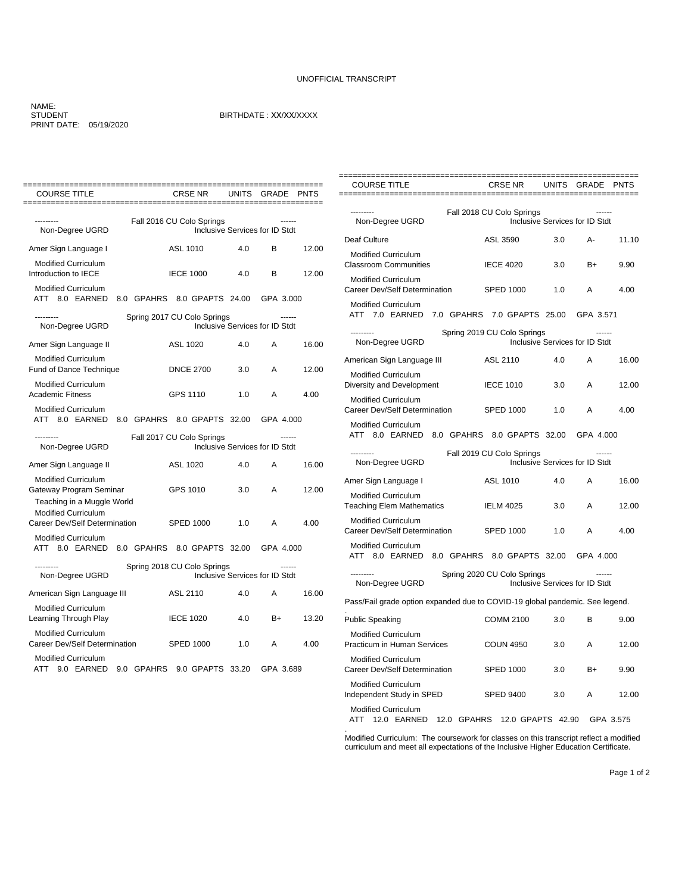## UNOFFICIAL TRANSCRIPT

## NAME: STUDENT PRINT DATE: 05/19/2020

## BIRTHDATE : XX/XX/XXXX

| <b>COURSE TITLE</b>                                                                                               | CRSE NR                               | <b>UNITS</b> | GRADE                                           | <b>PNTS</b> |
|-------------------------------------------------------------------------------------------------------------------|---------------------------------------|--------------|-------------------------------------------------|-------------|
| Non-Degree UGRD                                                                                                   | Fall 2016 CU Colo Springs             |              | Inclusive Services for ID Stdt                  |             |
| Amer Sign Language I                                                                                              | ASL 1010                              | 4.0          | B                                               | 12.00       |
| <b>Modified Curriculum</b><br>Introduction to IECE                                                                | <b>IECE 1000</b>                      | 4.0          | B                                               | 12.00       |
| <b>Modified Curriculum</b><br>ATT 8.0 EARNED                                                                      | 8.0 GPAHRS 8.0 GPAPTS 24.00 GPA 3.000 |              |                                                 |             |
| ---------<br>Non-Degree UGRD                                                                                      | Spring 2017 CU Colo Springs           |              | $- - - - - -$<br>Inclusive Services for ID Stdt |             |
| Amer Sign Language II                                                                                             | ASL 1020                              | 4.0          | A                                               | 16.00       |
| <b>Modified Curriculum</b><br><b>Fund of Dance Technique</b>                                                      | <b>DNCE 2700</b>                      | 3.0          | A                                               | 12.00       |
| <b>Modified Curriculum</b><br><b>Academic Fitness</b>                                                             | GPS 1110                              | 1.0          | A                                               | 4.00        |
| <b>Modified Curriculum</b><br>ATT 8.0 EARNED 8.0 GPAHRS 8.0 GPAPTS 32.00 GPA 4.000                                |                                       |              |                                                 |             |
| --------<br>Non-Degree UGRD                                                                                       | Fall 2017 CU Colo Springs             |              | Inclusive Services for ID Stdt                  |             |
| Amer Sign Language II                                                                                             | ASL 1020                              | 4.0          | A                                               | 16.00       |
| <b>Modified Curriculum</b><br>Gateway Program Seminar<br>Teaching in a Muggle World<br><b>Modified Curriculum</b> | GPS 1010                              | 3.0          | A                                               | 12.00       |
| Career Dev/Self Determination                                                                                     | SPED 1000                             | 1.0          | A                                               | 4.00        |
| <b>Modified Curriculum</b><br>ATT 8.0 EARNED 8.0 GPAHRS 8.0 GPAPTS 32.00                                          |                                       |              | GPA 4.000                                       |             |
| ---------<br>Non-Degree UGRD                                                                                      | Spring 2018 CU Colo Springs           |              | ------<br>Inclusive Services for ID Stdt        |             |
| American Sign Language III                                                                                        | ASL 2110                              | 4.0          | A                                               | 16.00       |
| <b>Modified Curriculum</b><br>Learning Through Play                                                               | <b>IECE 1020</b>                      | 4.0          | $B+$                                            | 13.20       |
| <b>Modified Curriculum</b><br>Career Dev/Self Determination                                                       | <b>SPED 1000</b>                      | 1.0          | A                                               | 4.00        |
| <b>Modified Curriculum</b><br>ATT 9.0 EARNED 9.0 GPAHRS 9.0 GPAPTS 33.20                                          |                                       |              | GPA 3.689                                       |             |

| <b>COURSE TITLE</b>                                                            | <b>CRSE NR</b>                                                | <b>UNITS</b> | GRADE                                    | <b>PNTS</b> |
|--------------------------------------------------------------------------------|---------------------------------------------------------------|--------------|------------------------------------------|-------------|
| ----------------------------                                                   | =========                                                     |              |                                          |             |
| Non-Degree UGRD                                                                | Fall 2018 CU Colo Springs                                     |              | Inclusive Services for ID Stdt           |             |
| Deaf Culture                                                                   | ASL 3590                                                      | 3.0          | А-                                       | 11.10       |
| <b>Modified Curriculum</b><br><b>Classroom Communities</b>                     | <b>IECE 4020</b>                                              | 3.0          | B+                                       | 9.90        |
| <b>Modified Curriculum</b><br>Career Dev/Self Determination                    | <b>SPED 1000</b>                                              | 1.0          | A                                        | 4.00        |
| <b>Modified Curriculum</b><br>ATT 7.0 EARNED 7.0 GPAHRS 7.0 GPAPTS 25.00       |                                                               |              | GPA 3.571                                |             |
| Non-Degree UGRD                                                                | Spring 2019 CU Colo Springs<br>Inclusive Services for ID Stdt |              |                                          |             |
| American Sign Language III                                                     | ASL 2110                                                      | 4.0          | A                                        | 16.00       |
| <b>Modified Curriculum</b><br>Diversity and Development                        | <b>IECE 1010</b>                                              | 3.0          | A                                        | 12.00       |
| Modified Curriculum<br>Career Dev/Self Determination                           | <b>SPED 1000</b>                                              | 1.0          | A                                        | 4.00        |
| Modified Curriculum<br>ATT 8.0 EARNED 8.0 GPAHRS 8.0 GPAPTS 32.00              |                                                               |              | GPA 4.000                                |             |
| ---------                                                                      | Fall 2019 CU Colo Springs                                     |              |                                          |             |
| Non-Degree UGRD                                                                |                                                               |              | Inclusive Services for ID Stdt           |             |
| Amer Sign Language I                                                           | ASL 1010                                                      | 4.0          | A                                        | 16.00       |
| <b>Modified Curriculum</b><br><b>Teaching Elem Mathematics</b>                 | <b>IELM 4025</b>                                              | 3.0          | A                                        | 12.00       |
| <b>Modified Curriculum</b><br>Career Dev/Self Determination                    | <b>SPED 1000</b>                                              | 1.0          | A                                        | 4.00        |
| Modified Curriculum<br>ATT 8.0 EARNED 8.0 GPAHRS 8.0 GPAPTS 32.00              |                                                               |              | GPA 4.000                                |             |
| ---------<br>Non-Degree UGRD                                                   | Spring 2020 CU Colo Springs                                   |              | ------<br>Inclusive Services for ID Stdt |             |
| Pass/Fail grade option expanded due to COVID-19 global pandemic. See legend.   |                                                               |              |                                          |             |
| <b>Public Speaking</b>                                                         | <b>COMM 2100</b>                                              | 3.0          | B                                        | 9.00        |
| <b>Modified Curriculum</b><br>Practicum in Human Services                      | <b>COUN 4950</b>                                              | 3.0          | A                                        | 12.00       |
| <b>Modified Curriculum</b><br>Career Dev/Self Determination                    | <b>SPED 1000</b>                                              | 3.0          | B+                                       | 9.90        |
| <b>Modified Curriculum</b><br>Independent Study in SPED                        | <b>SPED 9400</b>                                              | 3.0          | A                                        | 12.00       |
| <b>Modified Curriculum</b><br>12.0 EARNED 12.0 GPAHRS 12.0 GPAPTS 42.90<br>ATT |                                                               |              |                                          | GPA 3.575   |

. Modified Curriculum: The coursework for classes on this transcript reflect a modified curriculum and meet all expectations of the Inclusive Higher Education Certificate.